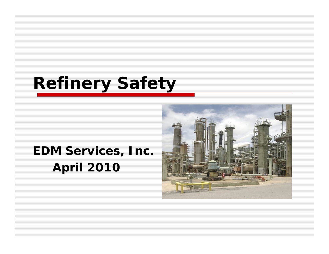# **Refinery Safety**

### **EDM Services, Inc. April 2010**

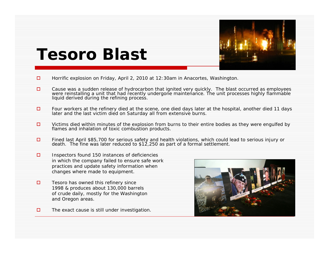

### **Tesoro Blast**

- п Horrific explosion on Friday, April 2, 2010 at 12:30am in Anacortes, Washington.
- $\Box$  $\Box$  Cause was a sudden release of hydrocarbon that ignited very quickly. The blast occurred as employees were reinstalling a unit that had recently undergone maintenance. The unit processes highly flammable liquid derived during the refining process.
- □  $\Box$  Four workers at the refinery died at the scene, one died days later at the hospital, another died 11 days later and the last victim died on Saturday all from extensive burns.
- $\Box$  Victims died within minutes of the explosion from burns to their entire bodies as they were engulfed by flames and inhalation of toxic combustion products.
- □ Fined last April \$85,700 for serious safety and health violations, which could lead to serious injury or death. The fine was later reduced to \$12,250 as part of a formal settlement.
- $\Box$  Inspectors found 150 instances of deficiencies in which the company failed to ensure safe work practices and update safety information when changes where made to equipment.
- $\Box$  Tesoro has owned this refinery since 1998 & produces about 130,000 barrels of crude daily, mostly for the Washington and Oregon areas.
	- The exact cause is still under investigation.

□

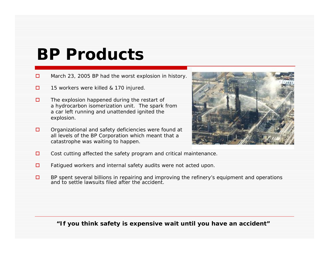### **BP Products**

- П. March 23, 2005 BP had the worst explosion in history.
- $\Box$ 15 workers were killed & 170 injured.
- $\Box$  The explosion happened during the restart of a hydrocarbon isomerization unit. The spark from a car left running and unattended ignited the explosion.
- . Organizational and safety deficiencies were found at all levels of the BP Corporation which meant that a catastrophe was waiting to happen.



- $\Box$ Cost cutting affected the safety program and critical maintenance.
- $\Box$ Fatigued workers and internal safety audits were not acted upon.
- $\Box$  $\Box$  BP spent several billions in repairing and improving the refinery's equipment and operations and to settle lawsuits filed after the accident.

#### **"If you think safety is expensive wait until you have an accident"**